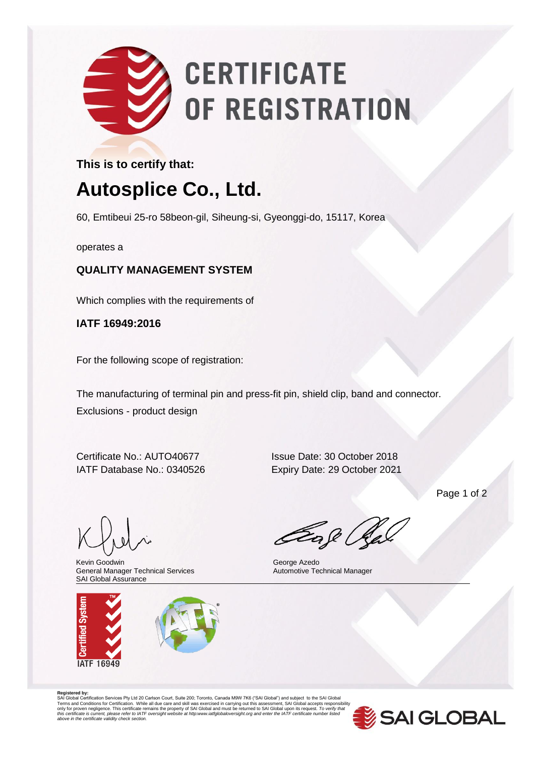# **CERTIFICATE** OF REGISTRATION

### **This is to certify that:**

## **Autosplice Co., Ltd.**

60, Emtibeui 25-ro 58beon-gil, Siheung-si, Gyeonggi-do, 15117, Korea

operates a

#### **QUALITY MANAGEMENT SYSTEM**

Which complies with the requirements of

**IATF 16949:2016**

For the following scope of registration:

The manufacturing of terminal pin and press-fit pin, shield clip, band and connector. Exclusions - product design

Certificate No.: AUTO40677 Issue Date: 30 October 2018 IATF Database No.: 0340526 Expiry Date: 29 October 2021

Page 1 of 2

Kevin Goodwin General Manager Technical Services SAI Global Assurance



ak (

George Azedo Automotive Technical Manager

Registered by:<br>SAI Global Certification Services Pty Ltd 20 Carlson Court, Suite 200; Toronto, Canada M9W 7K6 ("SAI Global") and subject to the SAI Global<br>SAI Global Certification Services Pty Ltd 20 Carlson Court, Suite 2